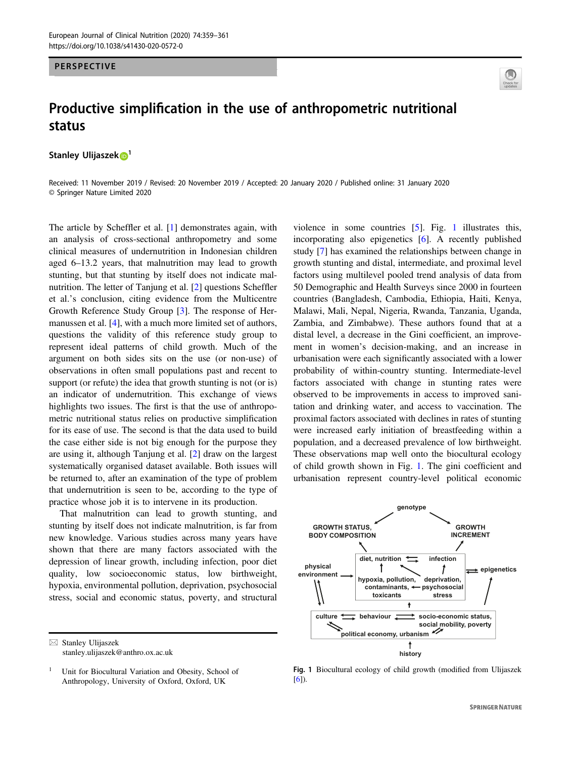## PERSPECTIVE



## Productive simplification in the use of anthropometric nutritional status

Stanley Ulijaszek **D**<sup>[1](http://orcid.org/0000-0001-6593-1103)</sup>

Received: 11 November 2019 / Revised: 20 November 2019 / Accepted: 20 January 2020 / Published online: 31 January 2020 © Springer Nature Limited 2020

The article by Scheffler et al. [[1\]](#page-2-0) demonstrates again, with an analysis of cross-sectional anthropometry and some clinical measures of undernutrition in Indonesian children aged 6–13.2 years, that malnutrition may lead to growth stunting, but that stunting by itself does not indicate malnutrition. The letter of Tanjung et al. [[2\]](#page-2-0) questions Scheffler et al.'s conclusion, citing evidence from the Multicentre Growth Reference Study Group [[3\]](#page-2-0). The response of Her-manussen et al. [[4\]](#page-2-0), with a much more limited set of authors, questions the validity of this reference study group to represent ideal patterns of child growth. Much of the argument on both sides sits on the use (or non-use) of observations in often small populations past and recent to support (or refute) the idea that growth stunting is not (or is) an indicator of undernutrition. This exchange of views highlights two issues. The first is that the use of anthropometric nutritional status relies on productive simplification for its ease of use. The second is that the data used to build the case either side is not big enough for the purpose they are using it, although Tanjung et al. [[2\]](#page-2-0) draw on the largest systematically organised dataset available. Both issues will be returned to, after an examination of the type of problem that undernutrition is seen to be, according to the type of practice whose job it is to intervene in its production.

That malnutrition can lead to growth stunting, and stunting by itself does not indicate malnutrition, is far from new knowledge. Various studies across many years have shown that there are many factors associated with the depression of linear growth, including infection, poor diet quality, low socioeconomic status, low birthweight, hypoxia, environmental pollution, deprivation, psychosocial stress, social and economic status, poverty, and structural violence in some countries [[5\]](#page-2-0). Fig. 1 illustrates this, incorporating also epigenetics [\[6](#page-2-0)]. A recently published study [[7\]](#page-2-0) has examined the relationships between change in growth stunting and distal, intermediate, and proximal level factors using multilevel pooled trend analysis of data from 50 Demographic and Health Surveys since 2000 in fourteen countries (Bangladesh, Cambodia, Ethiopia, Haiti, Kenya, Malawi, Mali, Nepal, Nigeria, Rwanda, Tanzania, Uganda, Zambia, and Zimbabwe). These authors found that at a distal level, a decrease in the Gini coefficient, an improvement in women's decision-making, and an increase in urbanisation were each significantly associated with a lower probability of within-country stunting. Intermediate-level factors associated with change in stunting rates were observed to be improvements in access to improved sanitation and drinking water, and access to vaccination. The proximal factors associated with declines in rates of stunting were increased early initiation of breastfeeding within a population, and a decreased prevalence of low birthweight. These observations map well onto the biocultural ecology of child growth shown in Fig. 1. The gini coefficient and urbanisation represent country-level political economic



Fig. 1 Biocultural ecology of child growth (modified from Ulijaszek [[6](#page-2-0)]).

 $\boxtimes$  Stanley Ulijaszek [stanley.ulijaszek@anthro.ox.ac.uk](mailto:stanley.ulijaszek@anthro.ox.ac.uk)

Unit for Biocultural Variation and Obesity, School of Anthropology, University of Oxford, Oxford, UK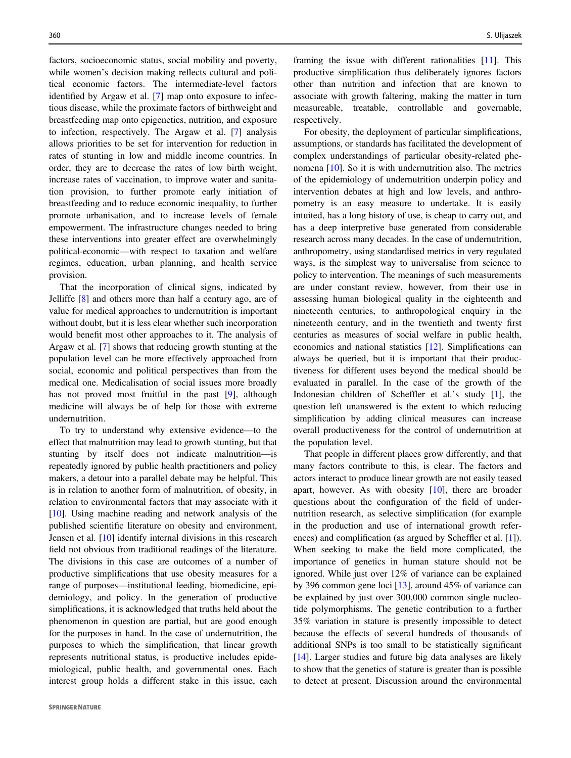factors, socioeconomic status, social mobility and poverty, while women's decision making reflects cultural and political economic factors. The intermediate-level factors identified by Argaw et al. [\[7](#page-2-0)] map onto exposure to infectious disease, while the proximate factors of birthweight and breastfeeding map onto epigenetics, nutrition, and exposure to infection, respectively. The Argaw et al. [\[7](#page-2-0)] analysis allows priorities to be set for intervention for reduction in rates of stunting in low and middle income countries. In order, they are to decrease the rates of low birth weight, increase rates of vaccination, to improve water and sanitation provision, to further promote early initiation of breastfeeding and to reduce economic inequality, to further promote urbanisation, and to increase levels of female empowerment. The infrastructure changes needed to bring these interventions into greater effect are overwhelmingly political-economic—with respect to taxation and welfare regimes, education, urban planning, and health service provision.

That the incorporation of clinical signs, indicated by Jelliffe [[8\]](#page-2-0) and others more than half a century ago, are of value for medical approaches to undernutrition is important without doubt, but it is less clear whether such incorporation would benefit most other approaches to it. The analysis of Argaw et al. [[7\]](#page-2-0) shows that reducing growth stunting at the population level can be more effectively approached from social, economic and political perspectives than from the medical one. Medicalisation of social issues more broadly has not proved most fruitful in the past [[9\]](#page-2-0), although medicine will always be of help for those with extreme undernutrition.

To try to understand why extensive evidence—to the effect that malnutrition may lead to growth stunting, but that stunting by itself does not indicate malnutrition—is repeatedly ignored by public health practitioners and policy makers, a detour into a parallel debate may be helpful. This is in relation to another form of malnutrition, of obesity, in relation to environmental factors that may associate with it [\[10](#page-2-0)]. Using machine reading and network analysis of the published scientific literature on obesity and environment, Jensen et al. [\[10](#page-2-0)] identify internal divisions in this research field not obvious from traditional readings of the literature. The divisions in this case are outcomes of a number of productive simplifications that use obesity measures for a range of purposes—institutional feeding, biomedicine, epidemiology, and policy. In the generation of productive simplifications, it is acknowledged that truths held about the phenomenon in question are partial, but are good enough for the purposes in hand. In the case of undernutrition, the purposes to which the simplification, that linear growth represents nutritional status, is productive includes epidemiological, public health, and governmental ones. Each interest group holds a different stake in this issue, each

framing the issue with different rationalities [\[11](#page-2-0)]. This productive simplification thus deliberately ignores factors other than nutrition and infection that are known to associate with growth faltering, making the matter in turn measureable, treatable, controllable and governable, respectively.

For obesity, the deployment of particular simplifications, assumptions, or standards has facilitated the development of complex understandings of particular obesity‐related phenomena [[10\]](#page-2-0). So it is with undernutrition also. The metrics of the epidemiology of undernutrition underpin policy and intervention debates at high and low levels, and anthropometry is an easy measure to undertake. It is easily intuited, has a long history of use, is cheap to carry out, and has a deep interpretive base generated from considerable research across many decades. In the case of undernutrition, anthropometry, using standardised metrics in very regulated ways, is the simplest way to universalise from science to policy to intervention. The meanings of such measurements are under constant review, however, from their use in assessing human biological quality in the eighteenth and nineteenth centuries, to anthropological enquiry in the nineteenth century, and in the twentieth and twenty first centuries as measures of social welfare in public health, economics and national statistics [\[12](#page-2-0)]. Simplifications can always be queried, but it is important that their productiveness for different uses beyond the medical should be evaluated in parallel. In the case of the growth of the Indonesian children of Scheffler et al.'s study [[1\]](#page-2-0), the question left unanswered is the extent to which reducing simplification by adding clinical measures can increase overall productiveness for the control of undernutrition at the population level.

That people in different places grow differently, and that many factors contribute to this, is clear. The factors and actors interact to produce linear growth are not easily teased apart, however. As with obesity [\[10](#page-2-0)], there are broader questions about the configuration of the field of undernutrition research, as selective simplification (for example in the production and use of international growth references) and complification (as argued by Scheffler et al. [\[1](#page-2-0)]). When seeking to make the field more complicated, the importance of genetics in human stature should not be ignored. While just over 12% of variance can be explained by 396 common gene loci [[13\]](#page-2-0), around 45% of variance can be explained by just over 300,000 common single nucleotide polymorphisms. The genetic contribution to a further 35% variation in stature is presently impossible to detect because the effects of several hundreds of thousands of additional SNPs is too small to be statistically significant [\[14](#page-2-0)]. Larger studies and future big data analyses are likely to show that the genetics of stature is greater than is possible to detect at present. Discussion around the environmental